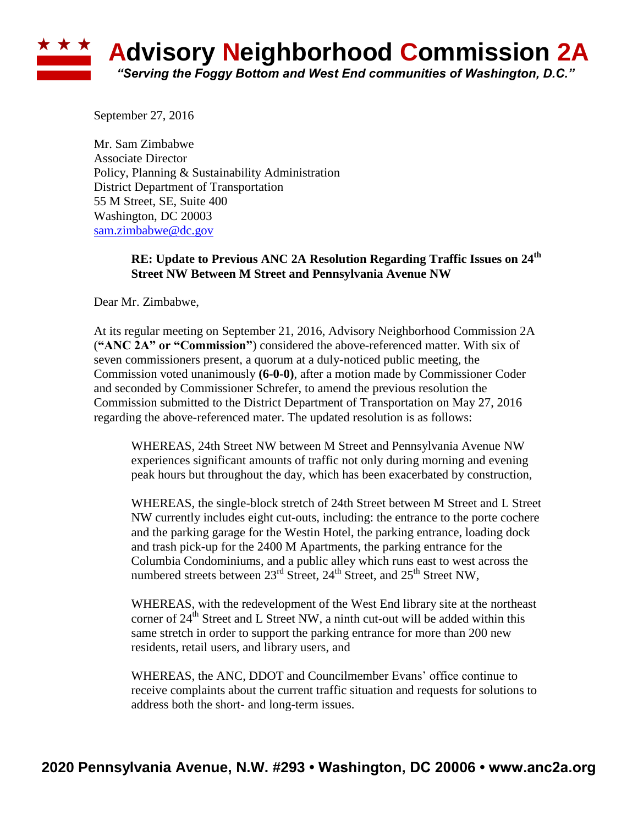## ★ ★ ★ **Advisory Neighborhood Commission 2A** *"Serving the Foggy Bottom and West End communities of Washington, D.C."*

September 27, 2016

Mr. Sam Zimbabwe Associate Director Policy, Planning & Sustainability Administration District Department of Transportation 55 M Street, SE, Suite 400 Washington, DC 20003 [sam.zimbabwe@dc.gov](mailto:sam.zimbabwe@dc.gov)

## **RE: Update to Previous ANC 2A Resolution Regarding Traffic Issues on 24th Street NW Between M Street and Pennsylvania Avenue NW**

Dear Mr. Zimbabwe,

At its regular meeting on September 21, 2016, Advisory Neighborhood Commission 2A (**"ANC 2A" or "Commission"**) considered the above-referenced matter. With six of seven commissioners present, a quorum at a duly-noticed public meeting, the Commission voted unanimously **(6-0-0)**, after a motion made by Commissioner Coder and seconded by Commissioner Schrefer, to amend the previous resolution the Commission submitted to the District Department of Transportation on May 27, 2016 regarding the above-referenced mater. The updated resolution is as follows:

WHEREAS, 24th Street NW between M Street and Pennsylvania Avenue NW experiences significant amounts of traffic not only during morning and evening peak hours but throughout the day, which has been exacerbated by construction,

WHEREAS, the single-block stretch of 24th Street between M Street and L Street NW currently includes eight cut-outs, including: the entrance to the porte cochere and the parking garage for the Westin Hotel, the parking entrance, loading dock and trash pick-up for the 2400 M Apartments, the parking entrance for the Columbia Condominiums, and a public alley which runs east to west across the numbered streets between 23<sup>rd</sup> Street, 24<sup>th</sup> Street, and 25<sup>th</sup> Street NW,

WHEREAS, with the redevelopment of the West End library site at the northeast corner of  $24<sup>th</sup>$  Street and L Street NW, a ninth cut-out will be added within this same stretch in order to support the parking entrance for more than 200 new residents, retail users, and library users, and

WHEREAS, the ANC, DDOT and Councilmember Evans' office continue to receive complaints about the current traffic situation and requests for solutions to address both the short- and long-term issues.